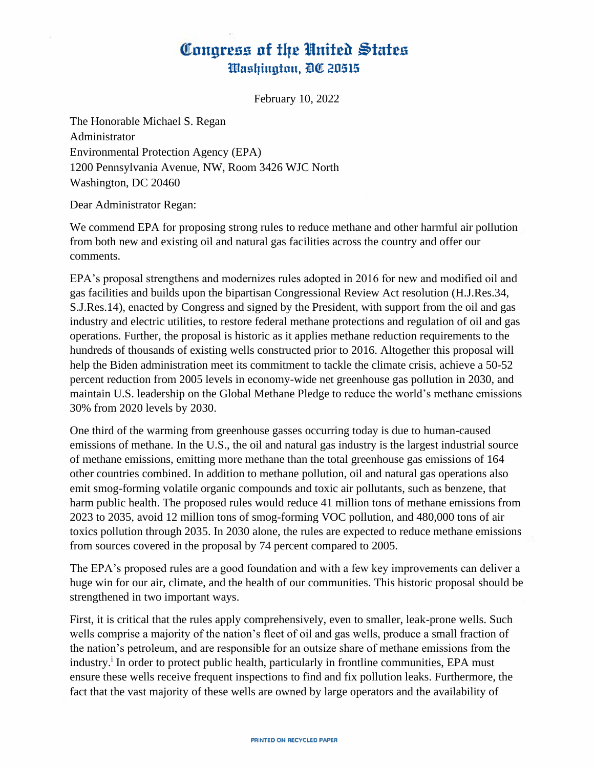## Conaress of the United States Washington, DC 20515

February 10, 2022

The Honorable Michael S. Regan Administrator Environmental Protection Agency (EPA) 1200 Pennsylvania Avenue, NW, Room 3426 WJC North Washington, DC 20460

Dear Administrator Regan:

We commend EPA for proposing strong rules to reduce methane and other harmful air pollution from both new and existing oil and natural gas facilities across the country and offer our comments.

EPA's proposal strengthens and modernizes rules adopted in 2016 for new and modified oil and gas facilities and builds upon the bipartisan Congressional Review Act resolution (H.J.Res.34, S.J.Res.14), enacted by Congress and signed by the President, with support from the oil and gas industry and electric utilities, to restore federal methane protections and regulation of oil and gas operations. Further, the proposal is historic as it applies methane reduction requirements to the hundreds of thousands of existing wells constructed prior to 2016. Altogether this proposal will help the Biden administration meet its commitment to tackle the climate crisis, achieve a 50-52 percent reduction from 2005 levels in economy-wide net greenhouse gas pollution in 2030, and maintain U.S. leadership on the Global Methane Pledge to reduce the world's methane emissions 30% from 2020 levels by 2030.

One third of the warming from greenhouse gasses occurring today is due to human-caused emissions of methane. In the U.S., the oil and natural gas industry is the largest industrial source of methane emissions, emitting more methane than the total greenhouse gas emissions of 164 other countries combined. In addition to methane pollution, oil and natural gas operations also emit smog-forming volatile organic compounds and toxic air pollutants, such as benzene, that harm public health. The proposed rules would reduce 41 million tons of methane emissions from 2023 to 2035, avoid 12 million tons of smog-forming VOC pollution, and 480,000 tons of air toxics pollution through 2035. In 2030 alone, the rules are expected to reduce methane emissions from sources covered in the proposal by 74 percent compared to 2005.

The EPA's proposed rules are a good foundation and with a few key improvements can deliver a huge win for our air, climate, and the health of our communities. This historic proposal should be strengthened in two important ways.

First, it is critical that the rules apply comprehensively, even to smaller, leak-prone wells. Such wells comprise a majority of the nation's fleet of oil and gas wells, produce a small fraction of the nation's petroleum, and are responsible for an outsize share of methane emissions from the industry.<sup>i</sup> In order to protect public health, particularly in frontline communities, EPA must ensure these wells receive frequent inspections to find and fix pollution leaks. Furthermore, the fact that the vast majority of these wells are owned by large operators and the availability of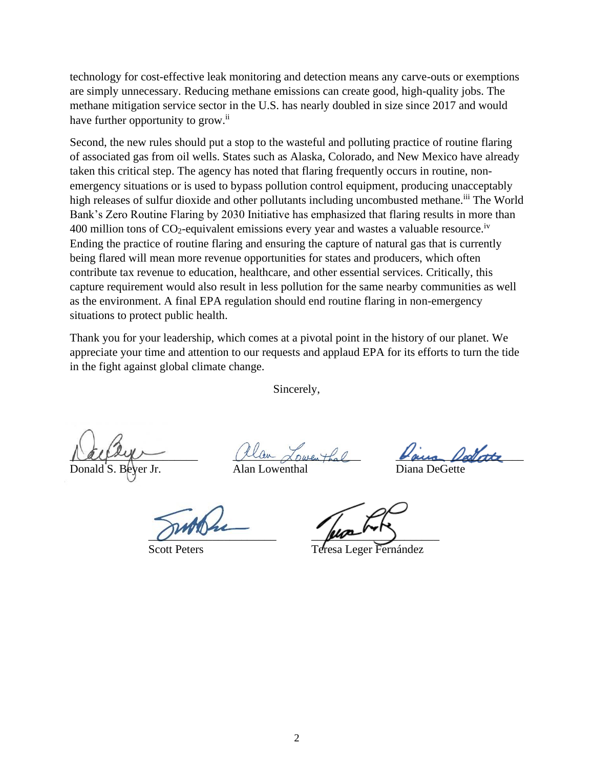technology for cost-effective leak monitoring and detection means any carve-outs or exemptions are simply unnecessary. Reducing methane emissions can create good, high-quality jobs. The methane mitigation service sector in the U.S. has nearly doubled in size since 2017 and would have further opportunity to grow.<sup>ii</sup>

Second, the new rules should put a stop to the wasteful and polluting practice of routine flaring of associated gas from oil wells. States such as Alaska, Colorado, and New Mexico have already taken this critical step. The agency has noted that flaring frequently occurs in routine, nonemergency situations or is used to bypass pollution control equipment, producing unacceptably high releases of sulfur dioxide and other pollutants including uncombusted methane.<sup>iii</sup> The World Bank's Zero Routine Flaring by 2030 Initiative has emphasized that flaring results in more than 400 million tons of  $CO_2$ -equivalent emissions every year and wastes a valuable resource.<sup>iv</sup> Ending the practice of routine flaring and ensuring the capture of natural gas that is currently being flared will mean more revenue opportunities for states and producers, which often contribute tax revenue to education, healthcare, and other essential services. Critically, this capture requirement would also result in less pollution for the same nearby communities as well as the environment. A final EPA regulation should end routine flaring in non-emergency situations to protect public health.

Thank you for your leadership, which comes at a pivotal point in the history of our planet. We appreciate your time and attention to our requests and applaud EPA for its efforts to turn the tide in the fight against global climate change.

Sincerely,

ver Jr. Alan Lowenthal Diana DeGette

 $\mu$  all  $\mu$ 

 $\mu$ 

Scott Peters Teresa Leger Fernández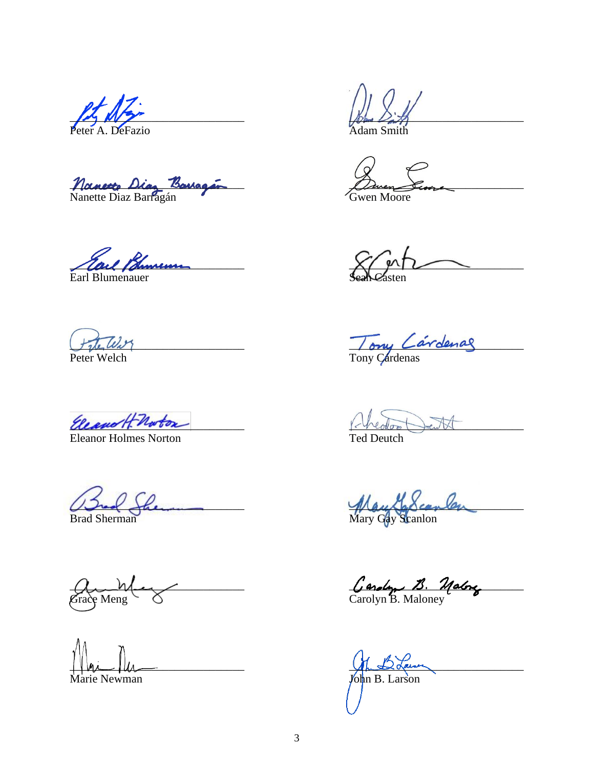Nanette Diaz Baugar

Earl Bhumen

Peter Welch

Eleanor H-Norton

**Eleanor Holmes Norton** 

<u>I She</u>

**Brad Sherman** 

A<br>Grace Meng

Marie Newman

wen Moore

Tony Cardenas

the reador

**Ted Deutch** 

May Gay Scanlen

Carolyn B. Malong

John B. Larson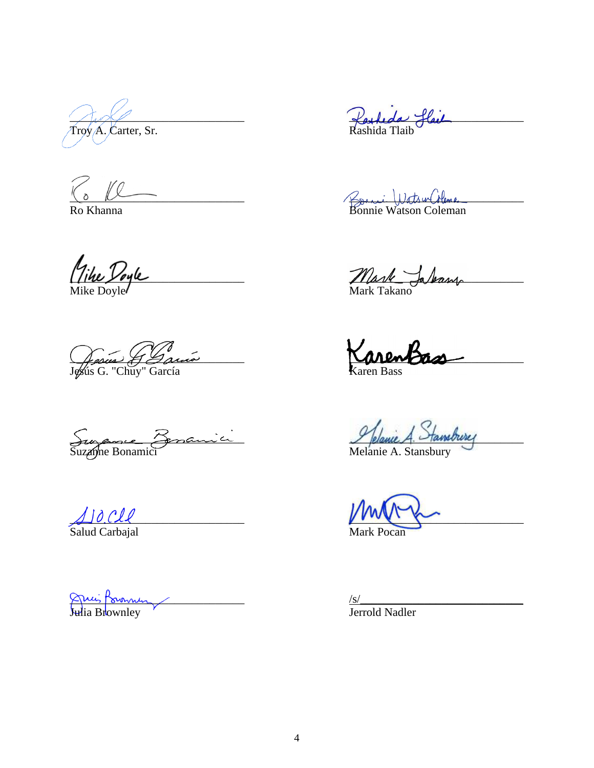$\overline{\text{Troy}}$  A. Carter, Sr.

 $\%$  Ke

Ro Khanna

Tike Doyle 

Jesus & Gauca 

Suzance Zonanici

 $\Delta$ ]  $\partial$  Cll<br>Salud Carbajal

Ancient Comment

Parkeda flail

Bonnie WatsurColome

Mark Jalang

KarenBass

Pfelanie A. Stans Hansbury

 $\frac{S}{S}$ <br>Jerrold Nadler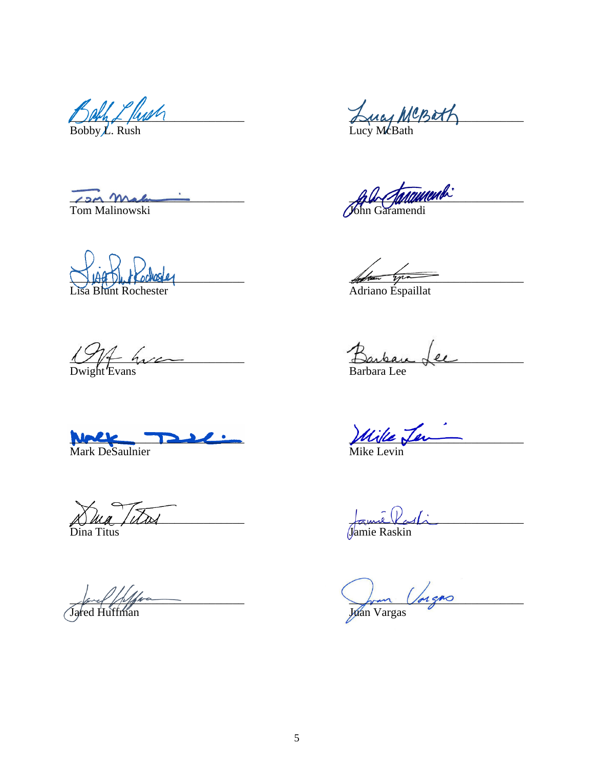Bach L fush

Com Malinowski  $\frac{1}{2}$ 

a Blunt Rochester

 $\frac{107}{20}$  hyperconnection  $\frac{107}{20}$ 

Mark DeSaulnier

Dua Titres

Dina Titus

fra Jane /////

Lucy MCBath 

John Gardenwend

Adress Lynnes<br>Adriano Espaillat

Barbau.  $\epsilon$ **Barbara** Lee

Wille Jen

Jame Parti

John Vargns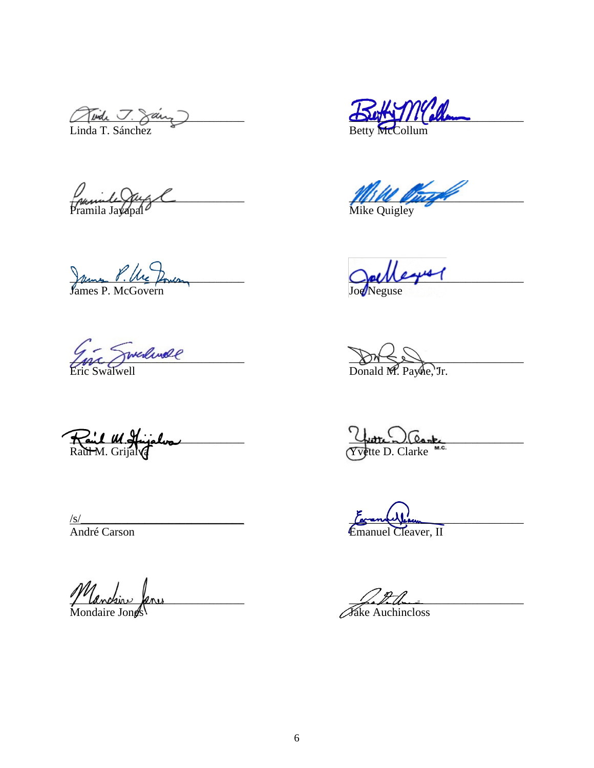Twide J. Saint

Juile Opy C

James P. Ure Domeon

Ence Swedende 

Raul M. Hujalva

 $\frac{S}{\text{Andr\'e Carson}}$ 

Manchine Janus

But M'allen

**Mille D** med 1

**Opel**  $leq$   $\sim$ 

 $\n *Domed M. Payne*, Tr.$ 

Vutte D. Clante

Vean<br>Cleaver, II

Fake Auchincloss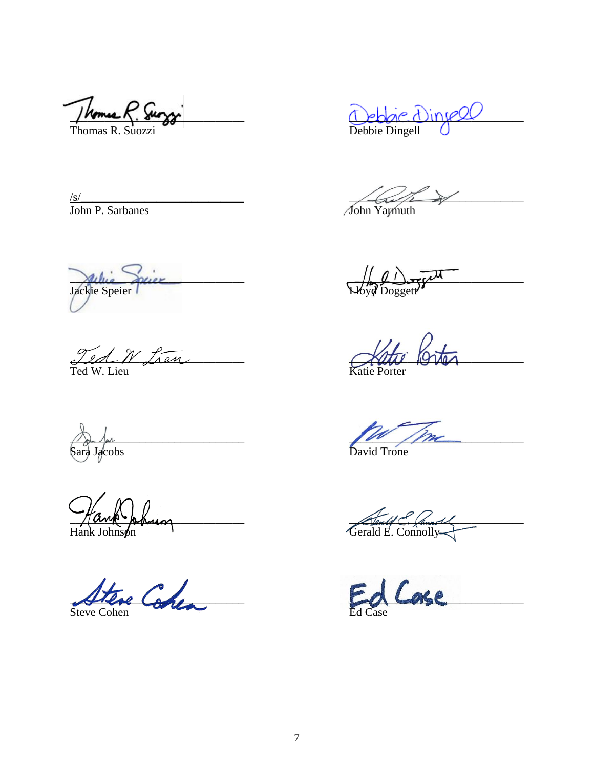Thomas R. Surggi

Debbie Dinyel

 $\frac{\sqrt{s}}{\text{John P. Sarbanes}}$ 

Jackie Sprier

Ted W Lien

Sara Jacobs

Hank Johnson

Steve Cohen Steve Cohen

 $\frac{1}{\sqrt{\frac{1}{\sqrt{\frac{1}{1}}}}\sqrt{\frac{1}{1}}}}$ 

 $\sqrt{\frac{1}{100}}$   $\frac{1}{100}$   $\frac{1}{100}$   $\frac{1}{100}$ 

Katur Porter

David Trone

General C. Connord

ase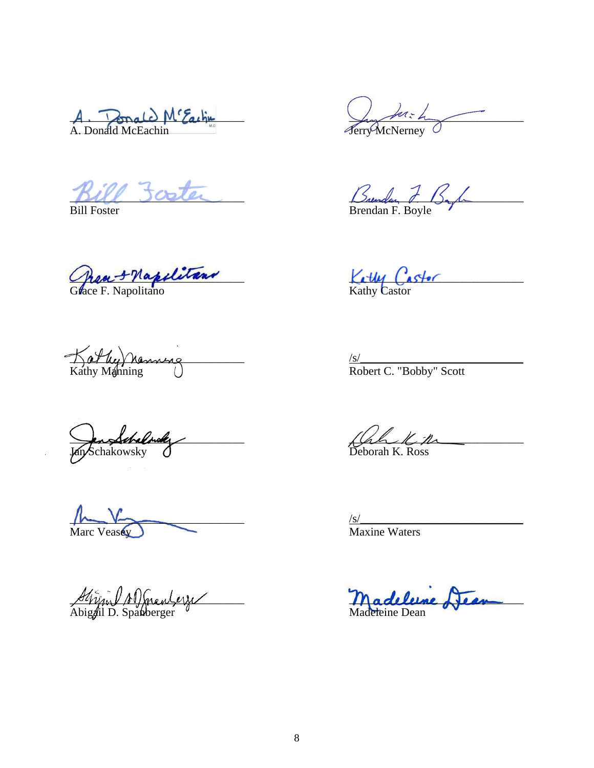A. Donald M'Eaching

Grant F Napolitano

 $K$  at he V henning Kathy Manning (1) and the Robert C. "Bobby" Scott

Jan Schalandy<br>Jan Schakowsky

 $\frac{1}{s}$ Marc Veasey Maxine Waters

Abigail D. Spanberger  $\theta$  Madeleine Dean

 $\frac{\sqrt{m\cdot h}}{\sqrt{m}}$ 

 $DUL$  sceler  $L$  Bundary  $t$ ,  $15.1$ 

Bill Foster **Brendan F. Boyle** 

 $K$  the  $C$  astor

 $\frac{\sqrt{\frac{1}{2}}}{\frac{1}{2}}$ 

 $\beta$